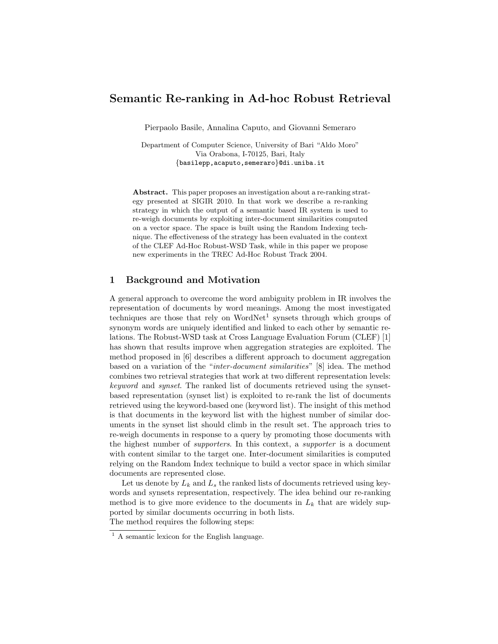# Semantic Re-ranking in Ad-hoc Robust Retrieval

Pierpaolo Basile, Annalina Caputo, and Giovanni Semeraro

Department of Computer Science, University of Bari "Aldo Moro" Via Orabona, I-70125, Bari, Italy {basilepp,acaputo,semeraro}@di.uniba.it

Abstract. This paper proposes an investigation about a re-ranking strategy presented at SIGIR 2010. In that work we describe a re-ranking strategy in which the output of a semantic based IR system is used to re-weigh documents by exploiting inter-document similarities computed on a vector space. The space is built using the Random Indexing technique. The effectiveness of the strategy has been evaluated in the context of the CLEF Ad-Hoc Robust-WSD Task, while in this paper we propose new experiments in the TREC Ad-Hoc Robust Track 2004.

# 1 Background and Motivation

A general approach to overcome the word ambiguity problem in IR involves the representation of documents by word meanings. Among the most investigated techniques are those that rely on  $WordNet<sup>1</sup>$  synsets through which groups of synonym words are uniquely identified and linked to each other by semantic relations. The Robust-WSD task at Cross Language Evaluation Forum (CLEF) [1] has shown that results improve when aggregation strategies are exploited. The method proposed in [6] describes a different approach to document aggregation based on a variation of the "inter-document similarities" [8] idea. The method combines two retrieval strategies that work at two different representation levels: keyword and synset. The ranked list of documents retrieved using the synsetbased representation (synset list) is exploited to re-rank the list of documents retrieved using the keyword-based one (keyword list). The insight of this method is that documents in the keyword list with the highest number of similar documents in the synset list should climb in the result set. The approach tries to re-weigh documents in response to a query by promoting those documents with the highest number of supporters. In this context, a supporter is a document with content similar to the target one. Inter-document similarities is computed relying on the Random Index technique to build a vector space in which similar documents are represented close.

Let us denote by  $L_k$  and  $L_s$  the ranked lists of documents retrieved using keywords and synsets representation, respectively. The idea behind our re-ranking method is to give more evidence to the documents in  $L_k$  that are widely supported by similar documents occurring in both lists. The method requires the following steps:

<sup>&</sup>lt;sup>1</sup> A semantic lexicon for the English language.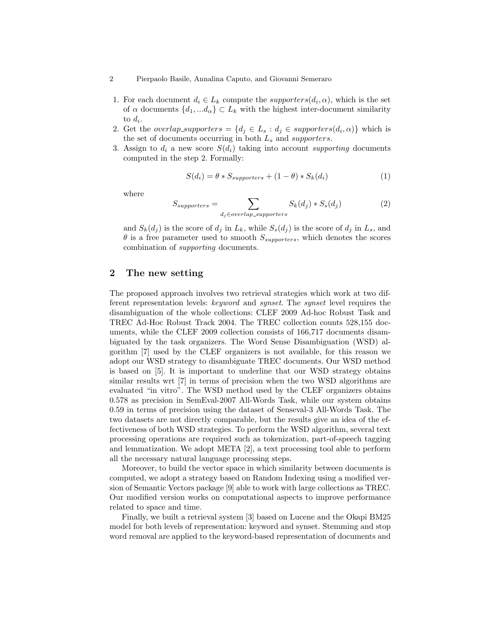#### 2 Pierpaolo Basile, Annalina Caputo, and Giovanni Semeraro

- 1. For each document  $d_i \in L_k$  compute the *supporters* $(d_i, \alpha)$ , which is the set of  $\alpha$  documents  $\{d_1, ... d_{\alpha}\}\subset L_k$  with the highest inter-document similarity to  $d_i$ .
- 2. Get the *overlap\_supporters* =  $\{d_j \in L_s : d_j \in \text{supporters}(d_i, \alpha)\}\$  which is the set of documents occurring in both  $L_s$  and supporters.
- 3. Assign to  $d_i$  a new score  $S(d_i)$  taking into account supporting documents computed in the step 2. Formally:

$$
S(d_i) = \theta * S_{supporters} + (1 - \theta) * S_k(d_i)
$$
\n<sup>(1)</sup>

where

$$
S_{supporters} = \sum_{d_j \in overlap\_supporters} S_k(d_j) * S_s(d_j)
$$
 (2)

and  $S_k(d_j)$  is the score of  $d_j$  in  $L_k$ , while  $S_s(d_j)$  is the score of  $d_j$  in  $L_s$ , and  $\theta$  is a free parameter used to smooth  $S_{supporters}$ , which denotes the scores combination of supporting documents.

# 2 The new setting

The proposed approach involves two retrieval strategies which work at two different representation levels: keyword and synset. The synset level requires the disambiguation of the whole collections: CLEF 2009 Ad-hoc Robust Task and TREC Ad-Hoc Robust Track 2004. The TREC collection counts 528,155 documents, while the CLEF 2009 collection consists of 166,717 documents disambiguated by the task organizers. The Word Sense Disambiguation (WSD) algorithm [7] used by the CLEF organizers is not available, for this reason we adopt our WSD strategy to disambiguate TREC documents. Our WSD method is based on [5]. It is important to underline that our WSD strategy obtains similar results wrt [7] in terms of precision when the two WSD algorithms are evaluated "in vitro". The WSD method used by the CLEF organizers obtains 0.578 as precision in SemEval-2007 All-Words Task, while our system obtains 0.59 in terms of precision using the dataset of Senseval-3 All-Words Task. The two datasets are not directly comparable, but the results give an idea of the effectiveness of both WSD strategies. To perform the WSD algorithm, several text processing operations are required such as tokenization, part-of-speech tagging and lemmatization. We adopt META [2], a text processing tool able to perform all the necessary natural language processing steps.

Moreover, to build the vector space in which similarity between documents is computed, we adopt a strategy based on Random Indexing using a modified version of Semantic Vectors package [9] able to work with large collections as TREC. Our modified version works on computational aspects to improve performance related to space and time.

Finally, we built a retrieval system [3] based on Lucene and the Okapi BM25 model for both levels of representation: keyword and synset. Stemming and stop word removal are applied to the keyword-based representation of documents and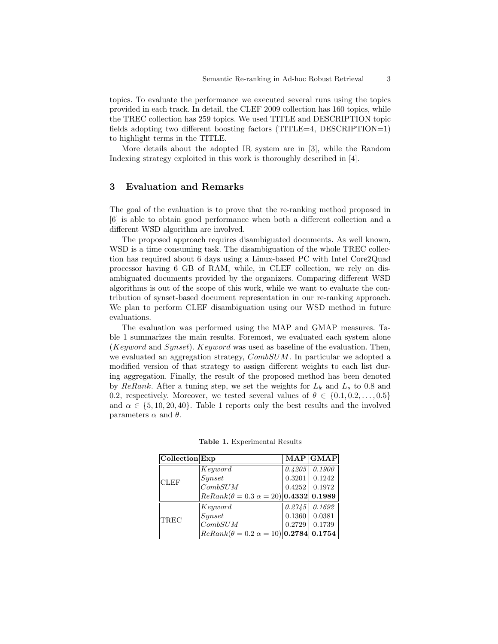topics. To evaluate the performance we executed several runs using the topics provided in each track. In detail, the CLEF 2009 collection has 160 topics, while the TREC collection has 259 topics. We used TITLE and DESCRIPTION topic fields adopting two different boosting factors (TITLE=4, DESCRIPTION=1) to highlight terms in the TITLE.

More details about the adopted IR system are in [3], while the Random Indexing strategy exploited in this work is thoroughly described in [4].

### 3 Evaluation and Remarks

The goal of the evaluation is to prove that the re-ranking method proposed in [6] is able to obtain good performance when both a different collection and a different WSD algorithm are involved.

The proposed approach requires disambiguated documents. As well known, WSD is a time consuming task. The disambiguation of the whole TREC collection has required about 6 days using a Linux-based PC with Intel Core2Quad processor having 6 GB of RAM, while, in CLEF collection, we rely on disambiguated documents provided by the organizers. Comparing different WSD algorithms is out of the scope of this work, while we want to evaluate the contribution of synset-based document representation in our re-ranking approach. We plan to perform CLEF disambiguation using our WSD method in future evaluations.

The evaluation was performed using the MAP and GMAP measures. Table 1 summarizes the main results. Foremost, we evaluated each system alone (Keyword and Synset). Keyword was used as baseline of the evaluation. Then, we evaluated an aggregation strategy,  $CombSUM$ . In particular we adopted a modified version of that strategy to assign different weights to each list during aggregation. Finally, the result of the proposed method has been denoted by ReRank. After a tuning step, we set the weights for  $L_k$  and  $L_s$  to 0.8 and 0.2, respectively. Moreover, we tested several values of  $\theta \in \{0.1, 0.2, \ldots, 0.5\}$ and  $\alpha \in \{5, 10, 20, 40\}$ . Table 1 reports only the best results and the involved parameters  $\alpha$  and  $\theta$ .

| $ $ Collection $ $ Exp |                                                  |        | <b>MAP</b> GMAP |
|------------------------|--------------------------------------------------|--------|-----------------|
| <b>CLEF</b>            | Keyword                                          | 0.4205 | 0.1900          |
|                        | Synset                                           | 0.3201 | 0.1242          |
|                        | CombSUM                                          | 0.4252 | 0.1972          |
|                        | $ReRank(\theta = 0.3 \alpha = 20) 0.4332 0.1989$ |        |                 |
| TREC                   | Keyword                                          | 0.2745 | 0.1692          |
|                        | Synset                                           | 0.1360 | 0.0381          |
|                        | CombSUM                                          | 0.2729 | 0.1739          |
|                        | $ReRank(\theta = 0.2 \alpha = 10) 0.2784 0.1754$ |        |                 |

Table 1. Experimental Results